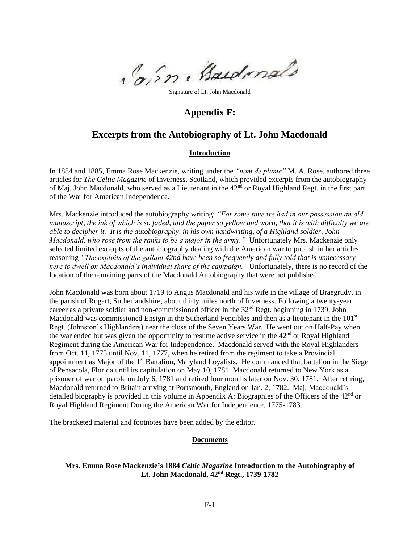Come Baudenals

Signature of Lt. John Macdonald

# **Appendix F:**

# **Excerpts from the Autobiography of Lt. John Macdonald**

# **Introduction**

In 1884 and 1885, Emma Rose Mackenzie, writing under the *"nom de plume"* M. A. Rose, authored three articles for *The Celtic Magazine* of Inverness, Scotland, which provided excerpts from the autobiography of Maj. John Macdonald, who served as a Lieutenant in the  $42<sup>nd</sup>$  or Royal Highland Regt. in the first part of the War for American Independence.

Mrs. Mackenzie introduced the autobiography writing: *"For some time we had in our possession an old manuscript, the ink of which is so faded, and the paper so yellow and worn, that it is with difficulty we are able to decipher it. It is the autobiography, in his own handwriting, of a Highland soldier, John Macdonald, who rose from the ranks to be a major in the army."* Unfortunately Mrs. Mackenzie only selected limited excerpts of the autobiography dealing with the American war to publish in her articles reasoning *"The exploits of the gallant 42nd have been so frequently and fully told that is unnecessary here to dwell on Macdonald's individual share of the campaign."* Unfortunately, there is no record of the location of the remaining parts of the Macdonald Autobiography that were not published.

John Macdonald was born about 1719 to Angus Macdonald and his wife in the village of Braegrudy, in the parish of Rogart, Sutherlandshire, about thirty miles north of Inverness. Following a twenty-year career as a private soldier and non-commissioned officer in the 32<sup>nd</sup> Regt. beginning in 1739, John Macdonald was commissioned Ensign in the Sutherland Fencibles and then as a lieutenant in the  $101<sup>st</sup>$ Regt. (Johnston's Highlanders) near the close of the Seven Years War. He went out on Half-Pay when the war ended but was given the opportunity to resume active service in the  $42<sup>nd</sup>$  or Royal Highland Regiment during the American War for Independence. Macdonald served with the Royal Highlanders from Oct. 11, 1775 until Nov. 11, 1777, when he retired from the regiment to take a Provincial appointment as Major of the  $1<sup>st</sup>$  Battalion, Maryland Loyalists. He commanded that battalion in the Siege of Pensacola, Florida until its capitulation on May 10, 1781. Macdonald returned to New York as a prisoner of war on parole on July 6, 1781 and retired four months later on Nov. 30, 1781. After retiring, Macdonald returned to Britain arriving at Portsmouth, England on Jan. 2, 1782. Maj. Macdonald's detailed biography is provided in this volume in Appendix A: Biographies of the Officers of the  $42<sup>nd</sup>$  or Royal Highland Regiment During the American War for Independence, 1775-1783.

The bracketed material and footnotes have been added by the editor.

# **Documents**

# **Mrs. Emma Rose Mackenzie's 1884** *Celtic Magazine* **Introduction to the Autobiography of Lt. John Macdonald, 42nd Regt., 1739-1782**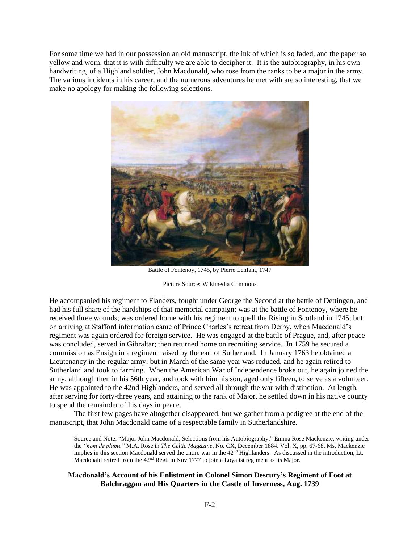For some time we had in our possession an old manuscript, the ink of which is so faded, and the paper so yellow and worn, that it is with difficulty we are able to decipher it. It is the autobiography, in his own handwriting, of a Highland soldier, John Macdonald, who rose from the ranks to be a major in the army. The various incidents in his career, and the numerous adventures he met with are so interesting, that we make no apology for making the following selections.



Battle of Fontenoy, 1745, by Pierre Lenfant, 1747

Picture Source: Wikimedia Commons

He accompanied his regiment to Flanders, fought under George the Second at the battle of Dettingen, and had his full share of the hardships of that memorial campaign; was at the battle of Fontenoy, where he received three wounds; was ordered home with his regiment to quell the Rising in Scotland in 1745; but on arriving at Stafford information came of Prince Charles's retreat from Derby, when Macdonald's regiment was again ordered for foreign service. He was engaged at the battle of Prague, and, after peace was concluded, served in Gibraltar; then returned home on recruiting service. In 1759 he secured a commission as Ensign in a regiment raised by the earl of Sutherland. In January 1763 he obtained a Lieutenancy in the regular army; but in March of the same year was reduced, and he again retired to Sutherland and took to farming. When the American War of Independence broke out, he again joined the army, although then in his 56th year, and took with him his son, aged only fifteen, to serve as a volunteer. He was appointed to the 42nd Highlanders, and served all through the war with distinction. At length, after serving for forty-three years, and attaining to the rank of Major, he settled down in his native county to spend the remainder of his days in peace.

The first few pages have altogether disappeared, but we gather from a pedigree at the end of the manuscript, that John Macdonald came of a respectable family in Sutherlandshire.

Source and Note: "Major John Macdonald, Selections from his Autobiography," Emma Rose Mackenzie, writing under the *"nom de plume"* M.A. Rose in *The Celtic Magazine*, No. CX, December 1884. Vol. X, pp. 67-68. Ms. Mackenzie implies in this section Macdonald served the entire war in the 42<sup>nd</sup> Highlanders. As discussed in the introduction, Lt. Macdonald retired from the 42<sup>nd</sup> Regt. in Nov.1777 to join a Loyalist regiment as its Major.

# **Macdonald's Account of his Enlistment in Colonel Simon Descury's Regiment of Foot at Balchraggan and His Quarters in the Castle of Inverness, Aug. 1739**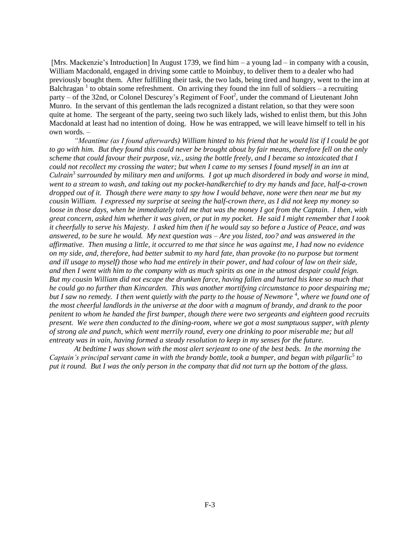[Mrs. Mackenzie's Introduction] In August 1739, we find him – a young lad – in company with a cousin, William Macdonald, engaged in driving some cattle to Moinbuy, to deliver them to a dealer who had previously bought them. After fulfilling their task, the two lads, being tired and hungry, went to the inn at Balchragan<sup>1</sup> to obtain some refreshment. On arriving they found the inn full of soldiers – a recruiting party – of the 32nd, or Colonel Descurey's Regiment of Foot<sup>2</sup>, under the command of Lieutenant John Munro. In the servant of this gentleman the lads recognized a distant relation, so that they were soon quite at home. The sergeant of the party, seeing two such likely lads, wished to enlist them, but this John Macdonald at least had no intention of doing. How he was entrapped, we will leave himself to tell in his own words. –

*"Meantime (as I found afterwards) William hinted to his friend that he would list if I could be got to go with him. But they found this could never be brought about by fair means, therefore fell on the only scheme that could favour their purpose, viz., using the bottle freely, and I became so intoxicated that I could not recollect my crossing the water; but when I came to my senses I found myself in an inn at Culrain*<sup>3</sup> *surrounded by military men and uniforms. I got up much disordered in body and worse in mind, went to a stream to wash, and taking out my pocket-handkerchief to dry my hands and face, half-a-crown dropped out of it. Though there were many to spy how I would behave, none were then near me but my cousin William. I expressed my surprise at seeing the half-crown there, as I did not keep my money so loose in those days, when he immediately told me that was the money I got from the Captain. I then, with great concern, asked him whether it was given, or put in my pocket. He said I might remember that I took it cheerfully to serve his Majesty. I asked him then if he would say so before a Justice of Peace, and was answered, to be sure he would. My next question was – Are you listed, too? and was answered in the affirmative. Then musing a little, it occurred to me that since he was against me, I had now no evidence on my side, and, therefore, had better submit to my hard fate, than provoke (to no purpose but torment and ill usage to myself) those who had me entirely in their power, and had colour of law on their side, and then I went with him to the company with as much spirits as one in the utmost despair could feign. But my cousin William did not escape the drunken farce, having fallen and hurted his knee so much that he could go no further than Kincarden. This was another mortifying circumstance to poor despairing me;*  but I saw no remedy. I then went quietly with the party to the house of Newmore<sup>4</sup>, where we found one of *the most cheerful landlords in the universe at the door with a magnum of brandy, and drank to the poor penitent to whom he handed the first bumper, though there were two sergeants and eighteen good recruits present. We were then conducted to the dining-room, where we got a most sumptuous supper, with plenty of strong ale and punch, which went merrily round, every one drinking to poor miserable me; but all entreaty was in vain, having formed a steady resolution to keep in my senses for the future.*

*At bedtime I was shown with the most alert serjeant to one of the best beds. In the morning the*  Captain's principal servant came in with the brandy bottle, took a bumper, and began with pilgarlic<sup>5</sup> to *put it round. But I was the only person in the company that did not turn up the bottom of the glass.*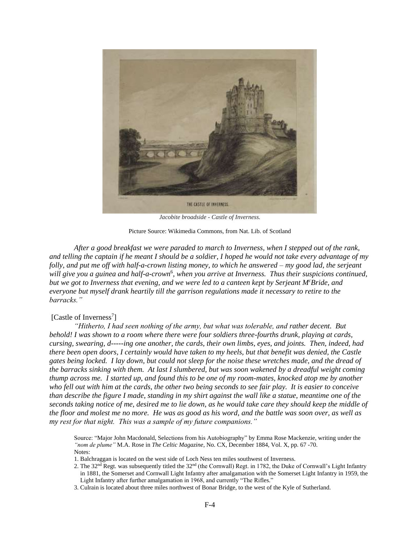

*Jacobite broadside - Castle of Inverness.*

Picture Source: Wikimedia Commons, from Nat. Lib. of Scotland

*After a good breakfast we were paraded to march to Inverness, when I stepped out of the rank, and telling the captain if he meant I should be a soldier, I hoped he would not take every advantage of my folly, and put me off with half-a-crown listing money, to which he answered – my good lad, the serjeant*  will give you a guinea and half-a-crown<sup>6</sup>, when you arrive at Inverness. Thus their suspicions continued, *but we got to Inverness that evening, and we were led to a canteen kept by Serjeant M<sup>c</sup>Bride, and everyone but myself drank heartily till the garrison regulations made it necessary to retire to the barracks."*

# [Castle of Inverness<sup>7</sup>]

*"Hitherto, I had seen nothing of the army, but what was tolerable, and rather decent. But behold! I was shown to a room where there were four soldiers three-fourths drunk, playing at cards, cursing, swearing, d-----ing one another, the cards, their own limbs, eyes, and joints. Then, indeed, had there been open doors, I certainly would have taken to my heels, but that benefit was denied, the Castle gates being locked. I lay down, but could not sleep for the noise these wretches made, and the dread of the barracks sinking with them. At last I slumbered, but was soon wakened by a dreadful weight coming thump across me. I started up, and found this to be one of my room-mates, knocked atop me by another who fell out with him at the cards, the other two being seconds to see fair play. It is easier to conceive than describe the figure I made, standing in my shirt against the wall like a statue, meantime one of the seconds taking notice of me, desired me to lie down, as he would take care they should keep the middle of the floor and molest me no more. He was as good as his word, and the battle was soon over, as well as my rest for that night. This was a sample of my future companions."*

Source: "Major John Macdonald, Selections from his Autobiography" by Emma Rose Mackenzie, writing under the *"nom de plume"* M.A. Rose in *The Celtic Magazine*, No. CX, December 1884, Vol. X, pp. 67 -70. Notes:

- 1. Balchraggan is located on the west side of Loch Ness ten miles southwest of Inverness.
- 2. The  $32<sup>nd</sup>$  Regt. was subsequently titled the  $32<sup>nd</sup>$  (the Cornwall) Regt. in 1782, the Duke of Cornwall's Light Infantry in 1881, the Somerset and Cornwall Light Infantry after amalgamation with the Somerset Light Infantry in 1959, the Light Infantry after further amalgamation in 1968, and currently "The Rifles."
- 3. Culrain is located about three miles northwest of Bonar Bridge, to the west of the Kyle of Sutherland.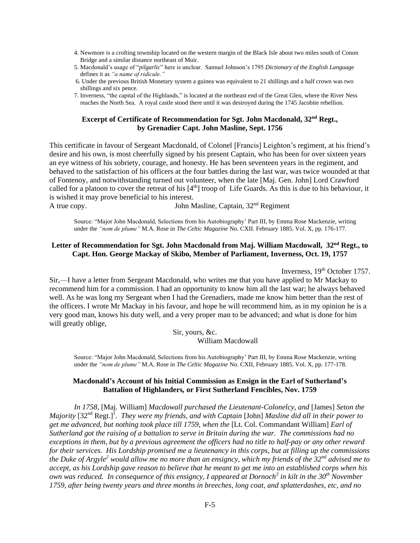- 4. Newmore is a crofting township located on the western margin of the Black Isle about two miles south of Conon Bridge and a similar distance northeast of Muir.
- 5. Macdonald's usage of "*pilgarlic*" here is unclear. Samuel Johnson's 1795 *Dictionary of the English Language* defines it as *"a name of ridicule."*
- 6. Under the previous British Monetary system a guinea was equivalent to 21 shillings and a half crown was two shillings and six pence.
- 7. Inverness, "the capital of the Highlands," is located at the northeast end of the Great Glen, where the River Ness reaches the North Sea. A royal castle stood there until it was destroyed during the 1745 Jacobite rebellion.

## **Excerpt of Certificate of Recommendation for Sgt. John Macdonald, 32nd Regt., by Grenadier Capt. John Masline, Sept. 1756**

This certificate in favour of Sergeant Macdonald, of Colonel [Francis] Leighton's regiment, at his friend's desire and his own, is most cheerfully signed by his present Captain, who has been for over sixteen years an eye witness of his sobriety, courage, and honesty. He has been seventeen years in the regiment, and behaved to the satisfaction of his officers at the four battles during the last war, was twice wounded at that of Fontenoy, and notwithstanding turned out volunteer, when the late [Maj. Gen. John] Lord Crawford called for a platoon to cover the retreat of his  $[4<sup>th</sup>]$  troop of Life Guards. As this is due to his behaviour, it is wished it may prove beneficial to his interest. A true copy. John Masline, Captain,  $32<sup>nd</sup>$  Regiment

Source: "Major John Macdonald, Selections from his Autobiography' Part III, by Emma Rose Mackenzie, writing under the *"nom de plume"* M.A. Rose in *The Celtic Magazine* No. CXII. February 1885. Vol. X, pp. 176-177.

## **Letter of Recommendation for Sgt. John Macdonald from Maj. William Macdowall, 32nd Regt., to Capt. Hon. George Mackay of Skibo, Member of Parliament, Inverness, Oct. 19, 1757**

Inverness, 19<sup>th</sup> October 1757.

Sir,—I have a letter from Sergeant Macdonald, who writes me that you have applied to Mr Mackay to recommend him for a commission. I had an opportunity to know him all the last war; he always behaved well. As he was long my Sergeant when I had the Grenadiers, made me know him better than the rest of the officers. I wrote Mr Mackay in his favour, and hope he will recommend him, as in my opinion he is a very good man, knows his duty well, and a very proper man to be advanced; and what is done for him will greatly oblige,

> Sir, yours, &c. William Macdowall

Source: "Major John Macdonald, Selections from his Autobiography' Part III, by Emma Rose Mackenzie, writing under the *"nom de plume"* M.A. Rose in *The Celtic Magazine* No. CXII, February 1885. Vol. X, pp. 177-178.

#### **Macdonald's Account of his Initial Commission as Ensign in the Earl of Sutherland's Battalion of Highlanders***,* **or First Sutherland Fencibles, Nov. 1759**

*In 1758,* [Maj. William] *Macdowall purchased the Lieutenant-Colonelcy, and* [James] *Seton the*  Majority [32<sup>nd</sup> Regt.]<sup>1</sup>. They were my friends, and with Captain [John] Masline did all in their power to *get me advanced, but nothing took place till 1759, when the* [Lt. Col. Commandant William] *Earl of Sutherland got the raising of a battalion to serve in Britain during the war. The commissions had no exceptions in them, but by a previous agreement the officers had no title to half-pay or any other reward for their services. His Lordship promised me a lieutenancy in this corps, but at filling up the commissions the Duke of Argyle<sup>2</sup> would allow me no more than an ensigncy, which my friends of the 32nd advised me to accept, as his Lordship gave reason to believe that he meant to get me into an established corps when his own was reduced. In consequence of this ensigncy, I appeared at Dornoch<sup>3</sup> in kilt in the 30th November 1759, after being twenty years and three months in breeches, long coat, and splatterdashes, etc, and no*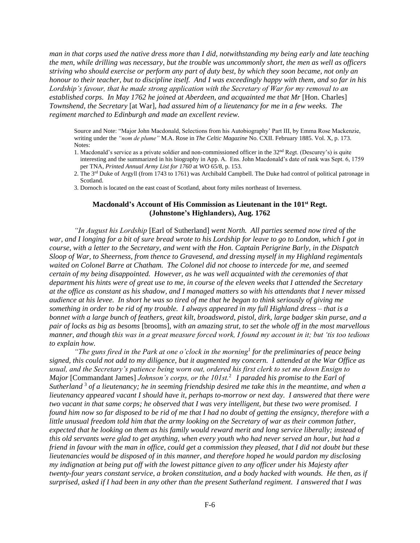*man in that corps used the native dress more than I did, notwithstanding my being early and late teaching the men, while drilling was necessary, but the trouble was uncommonly short, the men as well as officers striving who should exercise or perform any part of duty best, by which they soon became, not only an honour to their teacher, but to discipline itself. And I was exceedingly happy with them, and so far in his Lordship's favour, that he made strong application with the Secretary of War for my removal to an established corps. In May 1762 he joined at Aberdeen, and acquainted me that Mr* [Hon. Charles] *Townshend, the Secretary* [at War]*, had assured him of a lieutenancy for me in a few weeks. The regiment marched to Edinburgh and made an excellent review.*

Source and Note: "Major John Macdonald, Selections from his Autobiography' Part III, by Emma Rose Mackenzie, writing under the *"nom de plume"* M.A. Rose in *The Celtic Magazine* No. CXII. February 1885. Vol. X, p. 173. Notes:

- 1. Macdonald's service as a private soldier and non-commissioned officer in the  $32<sup>nd</sup>$  Regt. (Descurey's) is quite interesting and the summarized in his biography in App. A. Ens. John Macdonald's date of rank was Sept. 6, 1759 per TNA, *Printed Annual Army List for 1760* at WO 65/8, p. 153.
- 2. The 3rd Duke of Argyll (from 1743 to 1761) was Archibald Campbell. The Duke had control of political patronage in Scotland.
- 3. Dornoch is located on the east coast of Scotland, about forty miles northeast of Inverness.

#### **Macdonald's Account of His Commission as Lieutenant in the 101st Regt. (Johnstone's Highlanders), Aug. 1762**

*"In August his Lordship* [Earl of Sutherland] *went North. All parties seemed now tired of the war, and I longing for a bit of sure bread wrote to his Lordship for leave to go to London, which I got in course, with a letter to the Secretary, and went with the Hon. Captain Perigrine Barly, in the Dispatch Sloop of War, to Sheerness, from thence to Gravesend, and dressing myself in my Highland regimentals waited on Colonel Barre at Chatham. The Colonel did not choose to intercede for me, and seemed certain of my being disappointed. However, as he was well acquainted with the ceremonies of that department his hints were of great use to me, in course of the eleven weeks that I attended the Secretary at the office as constant as his shadow, and I managed matters so with his attendants that I never missed audience at his levee. In short he was so tired of me that he began to think seriously of giving me something in order to be rid of my trouble. I always appeared in my full Highland dress – that is a bonnet with a large bunch of feathers, great kilt, broadsword, pistol, dirk, large badger skin purse, and a pair of locks as big as besoms* [brooms]*, with an amazing strut, to set the whole off in the most marvellous manner, and though this was in a great measure forced work, I found my account in it; but 'tis too tedious to explain how.*

*"The guns fired in the Park at one o'clock in the morning<sup>1</sup> for the preliminaries of peace being signed, this could not add to my diligence, but it augmented my concern. I attended at the War Office as usual, and the Secretary's patience being worn out, ordered his first clerk to set me down Ensign to Major* [Commandant James] *Johnson's corps, or the 101st.*<sup>2</sup> *I paraded his promise to the Earl of Sutherland* 3 *of a lieutenancy; he in seeming friendship desired me take this in the meantime, and when a lieutenancy appeared vacant I should have it, perhaps to-morrow or next day. I answered that there were two vacant in that same corps; he observed that I was very intelligent, but these two were promised. I found him now so far disposed to be rid of me that I had no doubt of getting the ensigncy, therefore with a little unusual freedom told him that the army looking on the Secretary of war as their common father, expected that he looking on them as his family would reward merit and long service liberally; instead of this old servants were glad to get anything, when every youth who had never served an hour, but had a friend in favour with the man in office, could get a commission they pleased, that I did not doubt but these lieutenancies would be disposed of in this manner, and therefore hoped he would pardon my disclosing my indignation at being put off with the lowest pittance given to any officer under his Majesty after twenty-four years constant service, a broken constitution, and a body hacked with wounds. He then, as if surprised, asked if I had been in any other than the present Sutherland regiment. I answered that I was*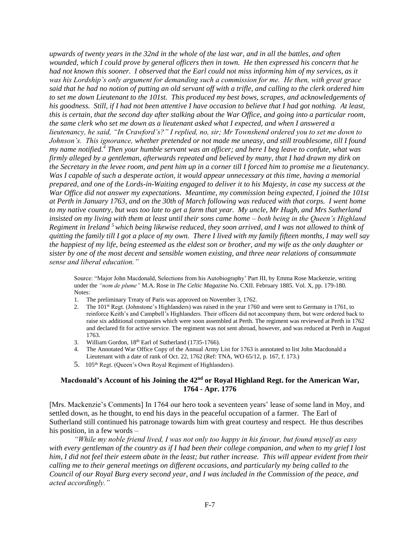*upwards of twenty years in the 32nd in the whole of the last war, and in all the battles, and often wounded, which I could prove by general officers then in town. He then expressed his concern that he had not known this sooner. I observed that the Earl could not miss informing him of my services, as it was his Lordship's only argument for demanding such a commission for me. He then, with great grace said that he had no notion of putting an old servant off with a trifle, and calling to the clerk ordered him to set me down Lieutenant to the 101st. This produced my best bows, scrapes, and acknowledgements of his goodness. Still, if I had not been attentive I have occasion to believe that I had got nothing. At least, this is certain, that the second day after stalking about the War Office, and going into a particular room, the same clerk who set me down as a lieutenant asked what I expected, and when I answered a lieutenancy, he said, "In Crawford's?" I replied, no, sir; Mr Townshend ordered you to set me down to Johnson's. This ignorance, whether pretended or not made me uneasy, and still troublesome, till I found my name notified.<sup>4</sup> Then your humble servant was an officer; and here I beg leave to confute, what was firmly alleged by a gentleman, afterwards repeated and believed by many, that I had drawn my dirk on the Secretary in the levee room, and pent him up in a corner till I forced him to promise me a lieutenancy. Was I capable of such a desperate action, it would appear unnecessary at this time, having a memorial prepared, and one of the Lords-in-Waiting engaged to deliver it to his Majesty, in case my success at the War Office did not answer my expectations. Meantime, my commission being expected, I joined the 101st at Perth in January 1763, and on the 30th of March following was reduced with that corps. I went home to my native country, but was too late to get a farm that year. My uncle, Mr Hugh, and Mrs Sutherland insisted on my living with them at least until their sons came home – both being in the Queen's Highland Regiment in Ireland <sup>5</sup>which being likewise reduced, they soon arrived, and I was not allowed to think of quitting the family till I got a place of my own. There I lived with my family fifteen months, I may well say the happiest of my life, being esteemed as the eldest son or brother, and my wife as the only daughter or sister by one of the most decent and sensible women existing, and three near relations of consummate sense and liberal education."* 

Source: "Major John Macdonald, Selections from his Autobiography' Part III, by Emma Rose Mackenzie, writing under the *"nom de plume"* M.A. Rose in *The Celtic Magazine* No. CXII. February 1885. Vol. X, pp. 179-180. Notes:

- 1. The preliminary Treaty of Paris was approved on November 3, 1762.
- 2. The 101<sup>st</sup> Regt. (Johnstone's Highlanders) was raised in the year 1760 and were sent to Germany in 1761, to reinforce Keith's and Campbell's Highlanders. Their officers did not accompany them, but were ordered back to raise six additional companies which were soon assembled at Perth. The regiment was reviewed at Perth in 1762 and declared fit for active service. The regiment was not sent abroad, however, and was reduced at Perth in August 1763.
- 3. William Gordon, 18<sup>th</sup> Earl of Sutherland (1735-1766).
- 4. The Annotated War Office Copy of the Annual Army List for 1763 is annotated to list John Macdonald a Lieutenant with a date of rank of Oct. 22, 1762 (Ref: TNA, WO 65/12, p. 167, f. 173.)
- 5. 105<sup>th</sup> Regt. (Queen's Own Royal Regiment of Highlanders).

# **Macdonald's Account of his Joining the 42nd or Royal Highland Regt. for the American War, 1764 - Apr. 1776**

[Mrs. Mackenzie's Comments] In 1764 our hero took a seventeen years' lease of some land in Moy, and settled down, as he thought, to end his days in the peaceful occupation of a farmer. The Earl of Sutherland still continued his patronage towards him with great courtesy and respect. He thus describes his position, in a few words –

*"While my noble friend lived, I was not only too happy in his favour, but found myself as easy with every gentleman of the country as if I had been their college companion, and when to my grief I lost him, I did not feel their esteem abate in the least; but rather increase. This will appear evident from their calling me to their general meetings on different occasions, and particularly my being called to the Council of our Royal Burg every second year, and I was included in the Commission of the peace, and acted accordingly."*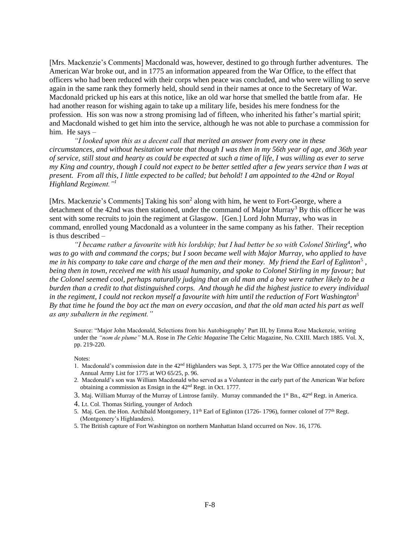[Mrs. Mackenzie's Comments] Macdonald was, however, destined to go through further adventures. The American War broke out, and in 1775 an information appeared from the War Office, to the effect that officers who had been reduced with their corps when peace was concluded, and who were willing to serve again in the same rank they formerly held, should send in their names at once to the Secretary of War. Macdonald pricked up his ears at this notice, like an old war horse that smelled the battle from afar. He had another reason for wishing again to take up a military life, besides his mere fondness for the profession. His son was now a strong promising lad of fifteen, who inherited his father's martial spirit; and Macdonald wished to get him into the service, although he was not able to purchase a commission for him. He says –

*"I looked upon this as a decent call that merited an answer from every one in these circumstances, and without hesitation wrote that though I was then in my 56th year of age, and 36th year of service, still stout and hearty as could be expected at such a time of life, I was willing as ever to serve my King and country, though I could not expect to be better settled after a few years service than I was at present. From all this, I little expected to be called; but behold! I am appointed to the 42nd or Royal Highland Regiment."<sup>1</sup>*

[Mrs. Mackenzie's Comments] Taking his son<sup>2</sup> along with him, he went to Fort-George, where a detachment of the 42nd was then stationed, under the command of Major Murray<sup>3</sup> By this officer he was sent with some recruits to join the regiment at Glasgow. [Gen.] Lord John Murray, who was in command, enrolled young Macdonald as a volunteer in the same company as his father. Their reception is thus described –

"*I became rather a favourite with his lordship; but I had better be so with Colonel Stirling<sup>4</sup>, who was to go with and command the corps; but I soon became well with Major Murray, who applied to have me in his company to take care and charge of the men and their money. My friend the Earl of Eglinton*<sup>5</sup> *, being then in town, received me with his usual humanity, and spoke to Colonel Stirling in my favour; but the Colonel seemed cool, perhaps naturally judging that an old man and a boy were rather likely to be a burden than a credit to that distinguished corps. And though he did the highest justice to every individual in the regiment, I could not reckon myself a favourite with him until the reduction of Fort Washington<sup>5</sup> By that time he found the boy act the man on every occasion, and that the old man acted his part as well as any subaltern in the regiment."*

Source: "Major John Macdonald, Selections from his Autobiography' Part III, by Emma Rose Mackenzie, writing under the *"nom de plume"* M.A. Rose in *The Celtic Magazine* The Celtic Magazine, No. CXIII. March 1885. Vol. X, pp. 219-220.

Notes:

- 1. Macdonald's commission date in the 42<sup>nd</sup> Highlanders was Sept. 3, 1775 per the War Office annotated copy of the Annual Army List for 1775 at WO 65/25, p. 96.
- 2. Macdonald's son was William Macdonald who served as a Volunteer in the early part of the American War before obtaining a commission as Ensign in the 42nd Regt. in Oct. 1777.
- 3. Maj. William Murray of the Murray of Lintrose family. Murray commanded the 1<sup>st</sup> Bn., 42<sup>nd</sup> Regt. in America.
- 4. Lt. Col. Thomas Stirling, younger of Ardoch
- 5. Maj. Gen. the Hon. Archibald Montgomery, 11th Earl of Eglinton (1726- 1796), former colonel of 77th Regt. (Montgomery's Highlanders).
- 5. The British capture of Fort Washington on northern Manhattan Island occurred on Nov. 16, 1776.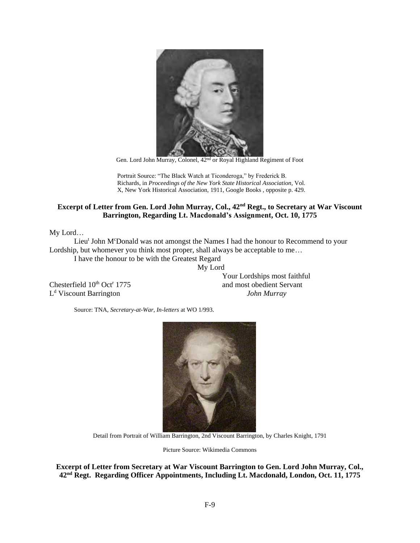

Gen. Lord John Murray, Colonel, 42nd or Royal Highland Regiment of Foot

Portrait Source: "The Black Watch at Ticonderoga," by Frederick B. Richards, in *Proceedings of the New York State Historical Association*, Vol. X, New York Historical Association, 1911, Google Books , opposite p. 429.

# **Excerpt of Letter from Gen. Lord John Murray, Col., 42nd Regt., to Secretary at War Viscount Barrington, Regarding Lt. Macdonald's Assignment, Oct. 10, 1775**

My Lord…

Lieu<sup>t</sup> John M<sup>c</sup>Donald was not amongst the Names I had the honour to Recommend to your Lordship, but whomever you think most proper, shall always be acceptable to me…

I have the honour to be with the Greatest Regard My Lord

Chesterfield  $10^{th}$  Oct<sup>r</sup> 1775 L <sup>d</sup> Viscount Barrington *John Murray*

Your Lordships most faithful and most obedient Servant

Source: TNA, *Secretary-at-War, In-letters* at WO 1/993.



Detail from Portrait of William Barrington, 2nd Viscount Barrington, by Charles Knight, 1791

Picture Source: Wikimedia Commons

**Excerpt of Letter from Secretary at War Viscount Barrington to Gen. Lord John Murray, Col., 42nd Regt. Regarding Officer Appointments, Including Lt. Macdonald, London, Oct. 11, 1775**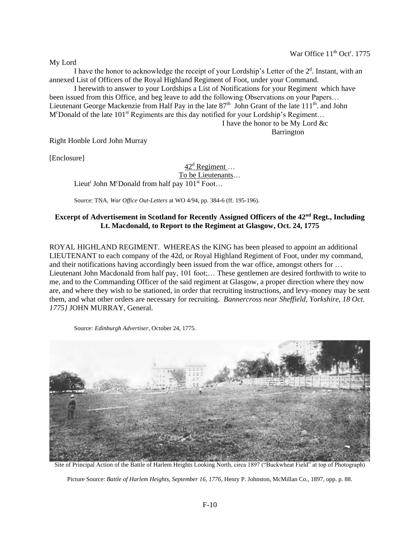War Office 11<sup>th</sup> Oct<sup>r</sup>. 1775

My Lord

I have the honor to acknowledge the receipt of your Lordship's Letter of the  $2<sup>d</sup>$ . Instant, with an annexed List of Officers of the Royal Highland Regiment of Foot, under your Command.

I herewith to answer to your Lordships a List of Notifications for your Regiment which have been issued from this Office, and beg leave to add the following Observations on your Papers… Lieutenant George Mackenzie from Half Pay in the late  $87<sup>th</sup>$  John Grant of the late  $111<sup>th</sup>$ . and John M<sup>c</sup>Donald of the late  $101^{st}$  Regiments are this day notified for your Lordship's Regiment...

I have the honor to be My Lord &c Barrington

Right Honble Lord John Murray

[Enclosure]

 $42<sup>d</sup>$  Regiment ... To be Lieutenants… Lieut<sup>t</sup> John M<sup>c</sup>Donald from half pay  $101^{st}$  Foot...

Source: TNA, *War Office Out-Letters* at WO 4/94, pp. 384-6 (ff. 195-196).

# **Excerpt of Advertisement in Scotland for Recently Assigned Officers of the 42nd Regt., Including Lt. Macdonald, to Report to the Regiment at Glasgow, Oct. 24, 1775**

ROYAL HIGHLAND REGIMENT. WHEREAS the KING has been pleased to appoint an additional LIEUTENANT to each company of the 42d, or Royal Highland Regiment of Foot, under my command, and their notifications having accordingly been issued from the war office, amongst others for … Lieutenant John Macdonald from half pay, 101 foot;… These gentlemen are desired forthwith to write to me, and to the Commanding Officer of the said regiment at Glasgow, a proper direction where they now are, and where they wish to be stationed, in order that recruiting instructions, and levy-money may be sent them, and what other orders are necessary for recruiting. *Bannercross near Sheffield, Yorkshire, 18 Oct. 1775}* JOHN MURRAY, General.

Source: *Edinburgh Advertiser*, October 24, 1775.



Site of Principal Action of the Battle of Harlem Heights Looking North, circa 1897 ("Buckwheat Field" at top of Photograph)

Picture Source: *Battle of Harlem Heights, September 16, 1776*, Henry P. Johnston, McMillan Co., 1897, opp. p. 88.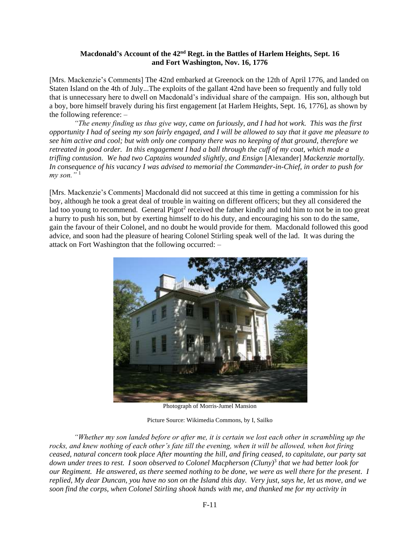# **Macdonald's Account of the 42nd Regt. in the Battles of Harlem Heights, Sept. 16 and Fort Washington, Nov. 16, 1776**

[Mrs. Mackenzie's Comments] The 42nd embarked at Greenock on the 12th of April 1776, and landed on Staten Island on the 4th of July...The exploits of the gallant 42nd have been so frequently and fully told that is unnecessary here to dwell on Macdonald's individual share of the campaign. His son, although but a boy, bore himself bravely during his first engagement [at Harlem Heights, Sept. 16, 1776], as shown by the following reference: –

*"The enemy finding us thus give way, came on furiously, and I had hot work. This was the first opportunity I had of seeing my son fairly engaged, and I will be allowed to say that it gave me pleasure to see him active and cool; but with only one company there was no keeping of that ground, therefore we retreated in good order. In this engagement I had a ball through the cuff of my coat, which made a trifling contusion. We had two Captains wounded slightly, and Ensign* [Alexander] *Mackenzie mortally. In consequence of his vacancy I was advised to memorial the Commander-in-Chief, in order to push for*   $mv$  *son.*<sup>" $1$ </sup>

[Mrs. Mackenzie's Comments] Macdonald did not succeed at this time in getting a commission for his boy, although he took a great deal of trouble in waiting on different officers; but they all considered the lad too young to recommend. General Pigot<sup>2</sup> received the father kindly and told him to not be in too great a hurry to push his son, but by exerting himself to do his duty, and encouraging his son to do the same, gain the favour of their Colonel, and no doubt he would provide for them. Macdonald followed this good advice, and soon had the pleasure of hearing Colonel Stirling speak well of the lad. It was during the attack on Fort Washington that the following occurred: –



Photograph of Morris-Jumel Mansion

Picture Source: Wikimedia Commons, by I, Sailko

*"Whether my son landed before or after me, it is certain we lost each other in scrambling up the rocks, and knew nothing of each other's fate till the evening, when it will be allowed, when hot firing ceased, natural concern took place After mounting the hill, and firing ceased, to capitulate, our party sat down under trees to rest. I soon observed to Colonel Macpherson (Cluny)*<sup>3</sup> *that we had better look for our Regiment. He answered, as there seemed nothing to be done, we were as well there for the present. I replied, My dear Duncan, you have no son on the Island this day. Very just, says he, let us move, and we soon find the corps, when Colonel Stirling shook hands with me, and thanked me for my activity in*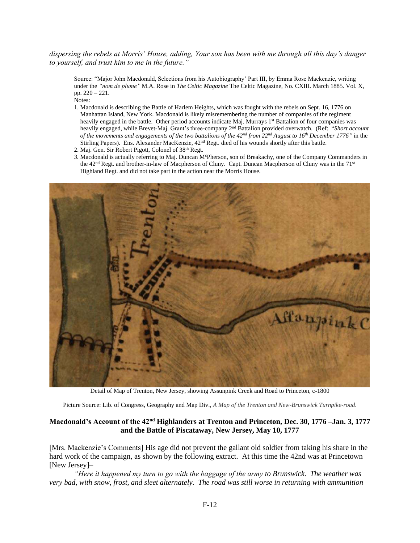#### *dispersing the rebels at Morris' House, adding, Your son has been with me through all this day's danger to yourself, and trust him to me in the future."*

Source: "Major John Macdonald, Selections from his Autobiography' Part III, by Emma Rose Mackenzie, writing under the *"nom de plume"* M.A. Rose in *The Celtic Magazine* The Celtic Magazine, No. CXIII. March 1885. Vol. X, pp. 220 – 221.

Notes:

- 1. Macdonald is describing the Battle of Harlem Heights, which was fought with the rebels on Sept. 16, 1776 on Manhattan Island, New York. Macdonald is likely misremembering the number of companies of the regiment heavily engaged in the battle. Other period accounts indicate Maj. Murrays 1<sup>st</sup> Battalion of four companies was heavily engaged, while Brevet-Maj. Grant's three-company 2nd Battalion provided overwatch. (Ref: "*Short account of the movements and engagements of the two battalions of the 42nd from 22nd August to 16th December 1776"* in the Stirling Papers). Ens. Alexander MacKenzie, 42nd Regt. died of his wounds shortly after this battle.
- 2. Maj. Gen. Sir Robert Pigott, Colonel of 38<sup>th</sup> Regt.
- 3. Macdonald is actually referring to Maj. Duncan M<sup>c</sup>Pherson, son of Breakachy, one of the Company Commanders in the 42<sup>nd</sup> Regt. and brother-in-law of Macpherson of Cluny. Capt. Duncan Macpherson of Cluny was in the 71<sup>st</sup> Highland Regt. and did not take part in the action near the Morris House.



Detail of Map of Trenton, New Jersey, showing Assunpink Creek and Road to Princeton, c-1800

Picture Source: Lib. of Congress, Geography and Map Div., *A Map of the Trenton and New-Brunswick Turnpike-road.*

#### **Macdonald's Account of the 42nd Highlanders at Trenton and Princeton, Dec. 30, 1776 –Jan. 3, 1777 and the Battle of Piscataway, New Jersey, May 10, 1777**

[Mrs. Mackenzie's Comments] His age did not prevent the gallant old soldier from taking his share in the hard work of the campaign, as shown by the following extract. At this time the 42nd was at Princetown [New Jersey]-

*"Here it happened my turn to go with the baggage of the army to Brunswick. The weather was very bad, with snow, frost, and sleet alternately. The road was still worse in returning with ammunition*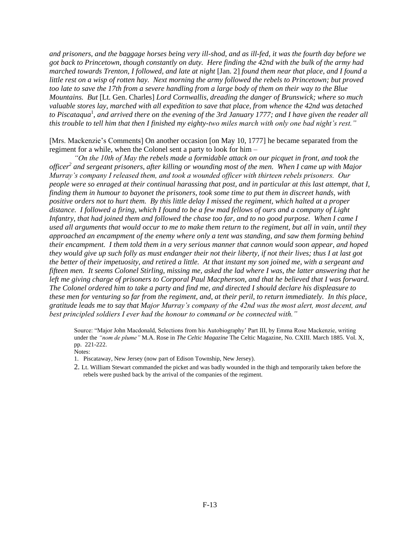*and prisoners, and the baggage horses being very ill-shod, and as ill-fed, it was the fourth day before we got back to Princetown, though constantly on duty. Here finding the 42nd with the bulk of the army had marched towards Trenton, I followed, and late at night* [Jan. 2] *found them near that place, and I found a little rest on a wisp of rotten hay. Next morning the army followed the rebels to Princetown; but proved too late to save the 17th from a severe handling from a large body of them on their way to the Blue Mountains. But* [Lt. Gen. Charles] *Lord Cornwallis, dreading the danger of Brunswick; where so much valuable stores lay, marched with all expedition to save that place, from whence the 42nd was detached*  to Piscataqua<sup>1</sup>, and arrived there on the evening of the 3rd January 1777; and I have given the reader all *this trouble to tell him that then I finished my eighty-two miles march with only one bad night's rest."*

[Mrs. Mackenzie's Comments] On another occasion [on May 10, 1777] he became separated from the regiment for a while, when the Colonel sent a party to look for him –

*"On the 10th of May the rebels made a formidable attack on our picquet in front, and took the officer<sup>2</sup> and sergeant prisoners, after killing or wounding most of the men. When I came up with Major Murray's company I released them, and took a wounded officer with thirteen rebels prisoners. Our people were so enraged at their continual harassing that post, and in particular at this last attempt, that I, finding them in humour to bayonet the prisoners, took some time to put them in discreet hands, with positive orders not to hurt them. By this little delay I missed the regiment, which halted at a proper distance. I followed a firing, which I found to be a few mad fellows of ours and a company of Light Infantry, that had joined them and followed the chase too far, and to no good purpose. When I came I used all arguments that would occur to me to make them return to the regiment, but all in vain, until they approached an encampment of the enemy where only a tent was standing, and saw them forming behind their encampment. I them told them in a very serious manner that cannon would soon appear, and hoped they would give up such folly as must endanger their not their liberty, if not their lives; thus I at last got the better of their impetuosity, and retired a little. At that instant my son joined me, with a sergeant and fifteen men. It seems Colonel Stirling, missing me, asked the lad where I was, the latter answering that he left me giving charge of prisoners to Corporal Paul Macpherson, and that he believed that I was forward. The Colonel ordered him to take a party and find me, and directed I should declare his displeasure to these men for venturing so far from the regiment, and, at their peril, to return immediately. In this place, gratitude leads me to say that Major Murray's company of the 42nd was the most alert, most decent, and best principled soldiers I ever had the honour to command or be connected with."*

Source: "Major John Macdonald, Selections from his Autobiography' Part III, by Emma Rose Mackenzie, writing under the *"nom de plume"* M.A. Rose in *The Celtic Magazine* The Celtic Magazine, No. CXIII. March 1885. Vol. X, pp. 221-222.

Notes:

- 1.Piscataway, New Jersey (now part of Edison Township, New Jersey).
- 2. Lt. William Stewart commanded the picket and was badly wounded in the thigh and temporarily taken before the rebels were pushed back by the arrival of the companies of the regiment.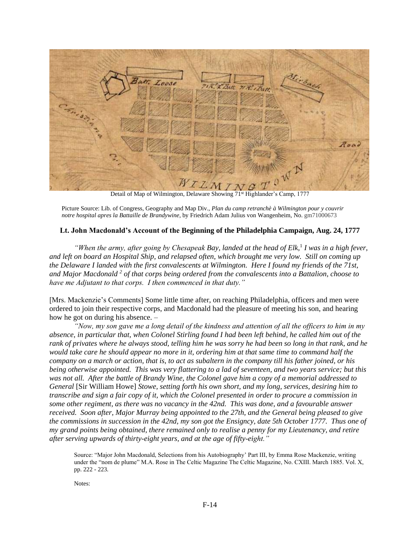

Detail of Map of Wilmington, Delaware Showing 71<sup>st</sup> Highlander's Camp, 1777

Picture Source: Lib. of Congress, Geography and Map Div., *Plan du camp retranchè à Wilmington pour y couvrir notre hospital apres la Battaille de Brandywine*, by Friedrich Adam Julius von Wangenheim, No. gm71000673

# **Lt. John Macdonald's Account of the Beginning of the Philadelphia Campaign, Aug. 24, 1777**

*"When the army, after going by Chesapeak Bay, landed at the head of Elk,*<sup>1</sup> *I was in a high fever, and left on board an Hospital Ship, and relapsed often, which brought me very low. Still on coming up the Delaware I landed with the first convalescents at Wilmington. Here I found my friends of the 71st, and Major Macdonald <sup>2</sup> of that corps being ordered from the convalescents into a Battalion, choose to have me Adjutant to that corps. I then commenced in that duty."*

[Mrs. Mackenzie's Comments] Some little time after, on reaching Philadelphia, officers and men were ordered to join their respective corps, and Macdonald had the pleasure of meeting his son, and hearing how he got on during his absence. –

*"Now, my son gave me a long detail of the kindness and attention of all the officers to him in my absence, in particular that, when Colonel Stirling found I had been left behind, he called him out of the rank of privates where he always stood, telling him he was sorry he had been so long in that rank, and he would take care he should appear no more in it, ordering him at that same time to command half the company on a march or action, that is, to act as subaltern in the company till his father joined, or his being otherwise appointed. This was very flattering to a lad of seventeen, and two years service; but this was not all. After the battle of Brandy Wine, the Colonel gave him a copy of a memorial addressed to General* [Sir William Howe] *Stowe, setting forth his own short, and my long, services, desiring him to transcribe and sign a fair copy of it, which the Colonel presented in order to procure a commission in some other regiment, as there was no vacancy in the 42nd. This was done, and a favourable answer received. Soon after, Major Murray being appointed to the 27th, and the General being pleased to give the commissions in succession in the 42nd, my son got the Ensigncy, date 5th October 1777. Thus one of my grand points being obtained, there remained only to realise a penny for my Lieutenancy, and retire after serving upwards of thirty-eight years, and at the age of fifty-eight."*

Source: "Major John Macdonald, Selections from his Autobiography' Part III, by Emma Rose Mackenzie, writing under the "nom de plume" M.A. Rose in The Celtic Magazine The Celtic Magazine, No. CXIII. March 1885. Vol. X, pp. 222 - 223.

Notes: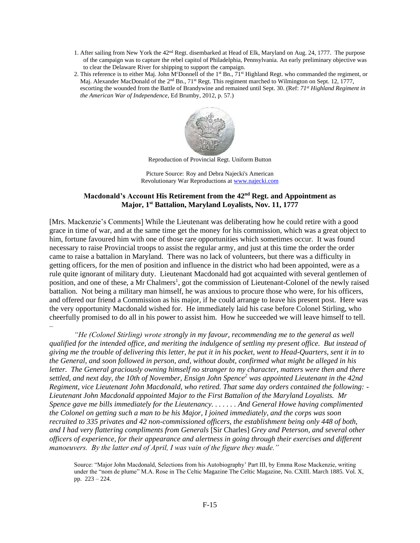- 1. After sailing from New York the 42nd Regt. disembarked at Head of Elk, Maryland on Aug. 24, 1777. The purpose of the campaign was to capture the rebel capitol of Philadelphia, Pennsylvania. An early preliminary objective was to clear the Delaware River for shipping to support the campaign.
- 2. This reference is to either Maj. John M<sup>c</sup>Donnell of the 1<sup>st</sup> Bn.,  $71^{st}$  Highland Regt. who commanded the regiment, or Maj. Alexander MacDonald of the 2<sup>nd</sup> Bn., 71<sup>st</sup> Regt. This regiment marched to Wilmington on Sept. 12, 1777, escorting the wounded from the Battle of Brandywine and remained until Sept. 30. (Ref: *71st Highland Regiment in the American War of Independence*, Ed Brumby, 2012, p. 57.)



Reproduction of Provincial Regt. Uniform Button

Picture Source: Roy and Debra Najecki's American Revolutionary War Reproductions a[t www.najecki.com](http://www.najecki.com/)

## **Macdonald's Account His Retirement from the 42nd Regt. and Appointment as Major, 1st Battalion, Maryland Loyalists, Nov. 11, 1777**

[Mrs. Mackenzie's Comments] While the Lieutenant was deliberating how he could retire with a good grace in time of war, and at the same time get the money for his commission, which was a great object to him, fortune favoured him with one of those rare opportunities which sometimes occur. It was found necessary to raise Provincial troops to assist the regular army, and just at this time the order the order came to raise a battalion in Maryland. There was no lack of volunteers, but there was a difficulty in getting officers, for the men of position and influence in the district who had been appointed, were as a rule quite ignorant of military duty. Lieutenant Macdonald had got acquainted with several gentlemen of position, and one of these, a Mr Chalmers<sup>1</sup>, got the commission of Lieutenant-Colonel of the newly raised battalion. Not being a military man himself, he was anxious to procure those who were, for his officers, and offered our friend a Commission as his major, if he could arrange to leave his present post. Here was the very opportunity Macdonald wished for. He immediately laid his case before Colonel Stirling, who cheerfully promised to do all in his power to assist him. How he succeeded we will leave himself to tell. –

*"He (Colonel Stirling) wrote strongly in my favour, recommending me to the general as well qualified for the intended office, and meriting the indulgence of settling my present office. But instead of giving me the trouble of delivering this letter, he put it in his pocket, went to Head-Quarters, sent it in to the General, and soon followed in person, and, without doubt, confirmed what might be alleged in his letter. The General graciously owning himself no stranger to my character, matters were then and there settled, and next day, the 10th of November, Ensign John Spence<sup>2</sup> was appointed Lieutenant in the 42nd Regiment, vice Lieutenant John Macdonald, who retired. That same day orders contained the following: - Lieutenant John Macdonald appointed Major to the First Battalion of the Maryland Loyalists. Mr Spence gave me bills immediately for the Lieutenancy. . . . . . . And General Howe having complimented the Colonel on getting such a man to be his Major, I joined immediately, and the corps was soon recruited to 335 privates and 42 non-commissioned officers, the establishment being only 448 of both, and I had very flattering compliments from Generals* [Sir Charles] *Grey and Peterson, and several other officers of experience, for their appearance and alertness in going through their exercises and different manoeuvers. By the latter end of April, I was vain of the figure they made."* 

Source: "Major John Macdonald, Selections from his Autobiography' Part III, by Emma Rose Mackenzie, writing under the "nom de plume" M.A. Rose in The Celtic Magazine The Celtic Magazine, No. CXIII. March 1885. Vol. X, pp. 223 – 224.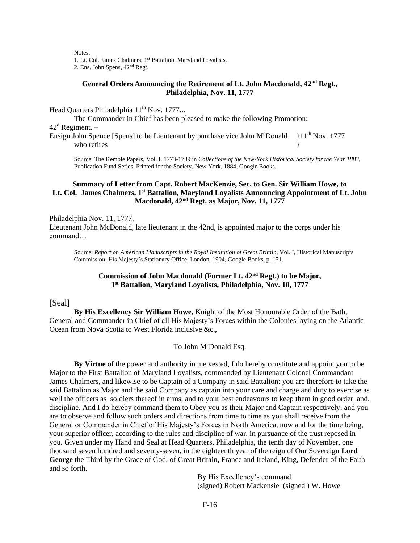Notes:

1. Lt. Col. James Chalmers, 1st Battalion, Maryland Loyalists.

2. Ens. John Spens, 42nd Regt.

# **General Orders Announcing the Retirement of Lt. John Macdonald, 42nd Regt., Philadelphia, Nov. 11, 1777**

Head Quarters Philadelphia 11<sup>th</sup> Nov. 1777...

The Commander in Chief has been pleased to make the following Promotion:

 $42<sup>d</sup>$  Regiment. –

Ensign John Spence [Spens] to be Lieutenant by purchase vice John M°Donald  $\{11^{th}$  Nov. 1777 who retires

Source: The Kemble Papers, Vol. I, 1773-1789 in *Collections of the New-York Historical Society for the Year 1883*, Publication Fund Series, Printed for the Society, New York, 1884, Google Books.

#### **Summary of Letter from Capt. Robert MacKenzie, Sec. to Gen. Sir William Howe, to** Lt. Col. James Chalmers, 1<sup>st</sup> Battalion, Maryland Loyalists Announcing Appointment of Lt. John **Macdonald, 42nd Regt. as Major, Nov. 11, 1777**

Philadelphia Nov. 11, 1777, Lieutenant John McDonald, late lieutenant in the 42nd, is appointed major to the corps under his command…

Source: *Report on American Manuscripts in the Royal Institution of Great Britain*, Vol. I, Historical Manuscripts Commission, His Majesty's Stationary Office, London, 1904, Google Books, p. 151.

# **Commission of John Macdonald (Former Lt. 42nd Regt.) to be Major, 1 st Battalion, Maryland Loyalists, Philadelphia, Nov. 10, 1777**

#### [Seal]

**By His Excellency Sir William Howe**, Knight of the Most Honourable Order of the Bath, General and Commander in Chief of all His Majesty's Forces within the Colonies laying on the Atlantic Ocean from Nova Scotia to West Florida inclusive &c.,

### To John McDonald Esq.

**By Virtue** of the power and authority in me vested, I do hereby constitute and appoint you to be Major to the First Battalion of Maryland Loyalists, commanded by Lieutenant Colonel Commandant James Chalmers, and likewise to be Captain of a Company in said Battalion: you are therefore to take the said Battalion as Major and the said Company as captain into your care and charge and duty to exercise as well the officers as soldiers thereof in arms, and to your best endeavours to keep them in good order .and. discipline. And I do hereby command them to Obey you as their Major and Captain respectively; and you are to observe and follow such orders and directions from time to time as you shall receive from the General or Commander in Chief of His Majesty's Forces in North America, now and for the time being, your superior officer, according to the rules and discipline of war, in pursuance of the trust reposed in you. Given under my Hand and Seal at Head Quarters, Philadelphia, the tenth day of November, one thousand seven hundred and seventy-seven, in the eighteenth year of the reign of Our Sovereign **Lord George** the Third by the Grace of God, of Great Britain, France and Ireland, King, Defender of the Faith and so forth.

> By His Excellency's command (signed) Robert Mackensie (signed ) W. Howe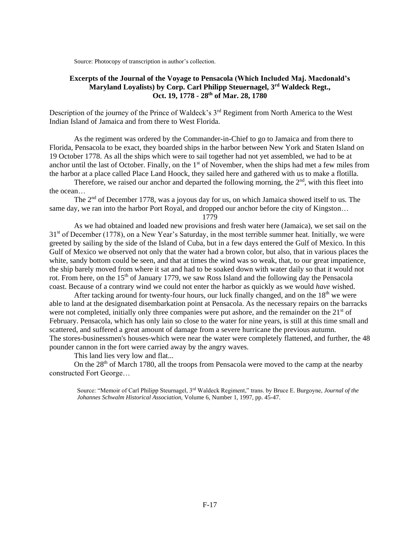Source: Photocopy of transcription in author's collection.

### **Excerpts of the Journal of the Voyage to Pensacola (Which Included Maj. Macdonald's Maryland Loyalists) by Corp. Carl Philipp Steuernagel, 3rd Waldeck Regt., Oct. 19, 1778 - 28th of Mar. 28, 1780**

Description of the journey of the Prince of Waldeck's 3<sup>rd</sup> Regiment from North America to the West Indian Island of Jamaica and from there to West Florida.

As the regiment was ordered by the Commander-in-Chief to go to Jamaica and from there to Florida, Pensacola to be exact, they boarded ships in the harbor between New York and Staten Island on 19 October 1778. As all the ships which were to sail together had not yet assembled, we had to be at anchor until the last of October. Finally, on the  $1<sup>st</sup>$  of November, when the ships had met a few miles from the harbor at a place called Place Land Hoock, they sailed here and gathered with us to make a flotilla.

Therefore, we raised our anchor and departed the following morning, the  $2<sup>nd</sup>$ , with this fleet into the ocean…

The  $2<sup>nd</sup>$  of December 1778, was a joyous day for us, on which Jamaica showed itself to us. The same day, we ran into the harbor Port Royal, and dropped our anchor before the city of Kingston...

1779

As we had obtained and loaded new provisions and fresh water here (Jamaica), we set sail on the  $31<sup>st</sup>$  of December (1778), on a New Year's Saturday, in the most terrible summer heat. Initially, we were greeted by sailing by the side of the Island of Cuba, but in a few days entered the Gulf of Mexico. In this Gulf of Mexico we observed not only that the water had a brown color, but also, that in various places the white, sandy bottom could be seen, and that at times the wind was so weak, that, to our great impatience, the ship barely moved from where it sat and had to be soaked down with water daily so that it would not rot. From here, on the  $15<sup>th</sup>$  of January 1779, we saw Ross Island and the following day the Pensacola coast. Because of a contrary wind we could not enter the harbor as quickly as we would *have* wished.

After tacking around for twenty-four hours, our luck finally changed, and on the  $18<sup>th</sup>$  we were able to land at the designated disembarkation point at Pensacola. As the necessary repairs on the barracks were not completed, initially only three companies were put ashore, and the remainder on the  $21<sup>st</sup>$  of February. Pensacola, which has only lain so close to the water for nine years, is still at this time small and scattered, and suffered a great amount of damage from a severe hurricane the previous autumn. The stores-businessmen's houses-which were near the water were completely flattened, and further, the 48 pounder cannon in the fort were carried away by the angry waves.

This land lies very low and flat...

On the  $28<sup>th</sup>$  of March 1780, all the troops from Pensacola were moved to the camp at the nearby constructed Fort George…

Source: "Memoir of Carl Philipp Steurnagel, 3rd Waldeck Regiment," trans. by Bruce E. Burgoyne, *Journal of the Johannes Schwalm Historical Association*, Volume 6, Number 1, 1997, pp. 45-47.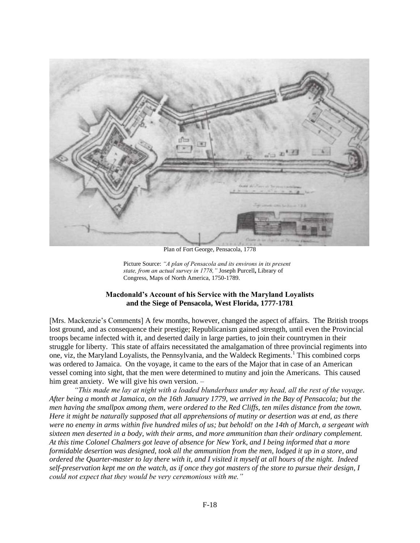

Plan of Fort George, Pensacola, 1778

Picture Source: *"A plan of Pensacola and its environs in its present state, from an actual survey in 1778,"* Joseph Purcell**,** Library of Congress, Maps of North America, 1750-1789.

# **Macdonald's Account of his Service with the Maryland Loyalists and the Siege of Pensacola, West Florida, 1777-1781**

[Mrs. Mackenzie's Comments] A few months, however, changed the aspect of affairs. The British troops lost ground, and as consequence their prestige; Republicanism gained strength, until even the Provincial troops became infected with it, and deserted daily in large parties, to join their countrymen in their struggle for liberty. This state of affairs necessitated the amalgamation of three provincial regiments into one, viz, the Maryland Loyalists, the Pennsylvania, and the Waldeck Regiments.<sup>1</sup> This combined corps was ordered to Jamaica. On the voyage, it came to the ears of the Major that in case of an American vessel coming into sight, that the men were determined to mutiny and join the Americans. This caused him great anxiety. We will give his own version. -

*"This made me lay at night with a loaded blunderbuss under my head, all the rest of the voyage. After being a month at Jamaica, on the 16th January 1779, we arrived in the Bay of Pensacola; but the men having the smallpox among them, were ordered to the Red Cliffs, ten miles distance from the town. Here it might be naturally supposed that all apprehensions of mutiny or desertion was at end, as there were no enemy in arms within five hundred miles of us; but behold! on the 14th of March, a sergeant with sixteen men deserted in a body, with their arms, and more ammunition than their ordinary complement. At this time Colonel Chalmers got leave of absence for New York, and I being informed that a more formidable desertion was designed, took all the ammunition from the men, lodged it up in a store, and ordered the Quarter-master to lay there with it, and I visited it myself at all hours of the night. Indeed self-preservation kept me on the watch, as if once they got masters of the store to pursue their design, I could not expect that they would be very ceremonious with me."*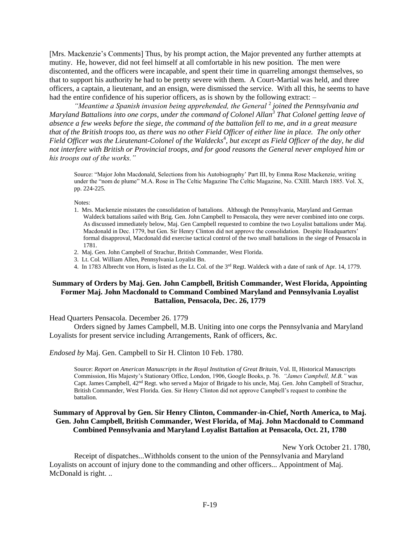[Mrs. Mackenzie's Comments] Thus, by his prompt action, the Major prevented any further attempts at mutiny. He, however, did not feel himself at all comfortable in his new position. The men were discontented, and the officers were incapable, and spent their time in quarreling amongst themselves, so that to support his authority he had to be pretty severe with them. A Court-Martial was held, and three officers, a captain, a lieutenant, and an ensign, were dismissed the service. With all this, he seems to have had the entire confidence of his superior officers, as is shown by the following extract: –

"Meantime a Spanish invasion being apprehended, the General<sup>2</sup> joined the Pennsylvania and *Maryland Battalions into one corps, under the command of Colonel Allan<sup>3</sup> That Colonel getting leave of absence a few weeks before the siege, the command of the battalion fell to me, and in a great measure that of the British troops too, as there was no other Field Officer of either line in place. The only other*  Field Officer was the Lieutenant-Colonel of the Waldecks<sup>4</sup>, but except as Field Officer of the day, he did *not interfere with British or Provincial troops, and for good reasons the General never employed him or his troops out of the works."*

Source: "Major John Macdonald, Selections from his Autobiography' Part III, by Emma Rose Mackenzie, writing under the "nom de plume" M.A. Rose in The Celtic Magazine The Celtic Magazine, No. CXIII. March 1885. Vol. X, pp. 224-225.

Notes:

- 1. Mrs. Mackenzie misstates the consolidation of battalions. Although the Pennsylvania, Maryland and German Waldeck battalions sailed with Brig. Gen. John Campbell to Pensacola, they were never combined into one corps. As discussed immediately below, Maj. Gen Campbell requested to combine the two Loyalist battalions under Maj. Macdonald in Dec. 1779, but Gen. Sir Henry Clinton did not approve the consolidation. Despite Headquarters' formal disapproval, Macdonald did exercise tactical control of the two small battalions in the siege of Pensacola in 1781.
- 2. Maj. Gen. John Campbell of Strachur, British Commander, West Florida.
- 3. Lt. Col. William Allen, Pennsylvania Loyalist Bn.
- 4. In 1783 Albrecht von Horn, is listed as the Lt. Col. of the  $3^{rd}$  Regt. Waldeck with a date of rank of Apr. 14, 1779.

### **Summary of Orders by Maj. Gen. John Campbell, British Commander, West Florida, Appointing Former Maj. John Macdonald to Command Combined Maryland and Pennsylvania Loyalist Battalion, Pensacola, Dec. 26, 1779**

#### Head Quarters Pensacola. December 26. 1779

Orders signed by James Campbell, M.B. Uniting into one corps the Pennsylvania and Maryland Loyalists for present service including Arrangements, Rank of officers, &c.

*Endosed by* Maj. Gen. Campbell to Sir H. Clinton 10 Feb. 1780.

Source: *Report on American Manuscripts in the Royal Institution of Great Britain*, Vol. II, Historical Manuscripts Commission, His Majesty's Stationary Office, London, 1906, Google Books, p. 76. *"James Campbell, M.B."* was Capt. James Campbell, 42nd Regt. who served a Major of Brigade to his uncle, Maj. Gen. John Campbell of Strachur, British Commander, West Florida. Gen. Sir Henry Clinton did not approve Campbell's request to combine the battalion.

# **Summary of Approval by Gen. Sir Henry Clinton, Commander-in-Chief, North America, to Maj. Gen. John Campbell, British Commander, West Florida, of Maj. John Macdonald to Command Combined Pennsylvania and Maryland Loyalist Battalion at Pensacola, Oct. 21, 1780**

New York October 21. 1780,

Receipt of dispatches...Withholds consent to the union of the Pennsylvania and Maryland Loyalists on account of injury done to the commanding and other officers... Appointment of Maj. McDonald is right. ..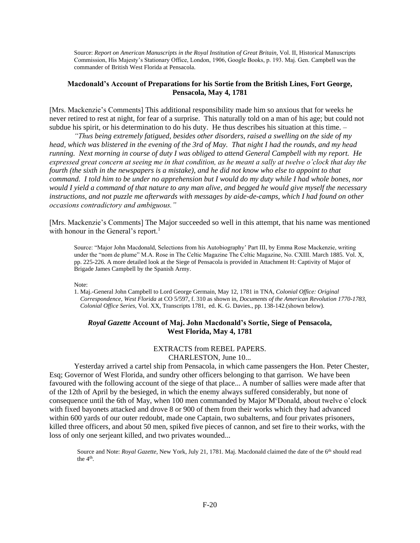Source: *Report on American Manuscripts in the Royal Institution of Great Britain*, Vol. II, Historical Manuscripts Commission, His Majesty's Stationary Office, London, 1906, Google Books, p. 193. Maj. Gen. Campbell was the commander of British West Florida at Pensacola.

#### **Macdonald's Account of Preparations for his Sortie from the British Lines, Fort George, Pensacola, May 4, 1781**

[Mrs. Mackenzie's Comments] This additional responsibility made him so anxious that for weeks he never retired to rest at night, for fear of a surprise. This naturally told on a man of his age; but could not subdue his spirit, or his determination to do his duty. He thus describes his situation at this time. –

*"Thus being extremely fatigued, besides other disorders, raised a swelling on the side of my head, which was blistered in the evening of the 3rd of May. That night I had the rounds, and my head running. Next morning in course of duty I was obliged to attend General Campbell with my report. He expressed great concern at seeing me in that condition, as he meant a sally at twelve o'clock that day the fourth (the sixth in the newspapers is a mistake), and he did not know who else to appoint to that command. I told him to be under no apprehension but I would do my duty while I had whole bones, nor would I yield a command of that nature to any man alive, and begged he would give myself the necessary instructions, and not puzzle me afterwards with messages by aide-de-camps, which I had found on other occasions contradictory and ambiguous."*

[Mrs. Mackenzie's Comments] The Major succeeded so well in this attempt, that his name was mentioned with honour in the General's report.<sup>1</sup>

Source: "Major John Macdonald, Selections from his Autobiography' Part III, by Emma Rose Mackenzie, writing under the "nom de plume" M.A. Rose in The Celtic Magazine The Celtic Magazine, No. CXIII. March 1885. Vol. X, pp. 225-226. A more detailed look at the Siege of Pensacola is provided in Attachment H: Captivity of Major of Brigade James Campbell by the Spanish Army.

Note:

1. Maj.-General John Campbell to Lord George Germain, May 12, 1781 in TNA, *Colonial Office: Original Correspondence, West Florida* at CO 5/597, f. 310 as shown in, *Documents of the American Revolution 1770-1783, Colonial Office Series*, Vol. XX, Transcripts 1781, ed. K. G. Davies., pp. 138-142.(shown below).

# *Royal Gazette* **Account of Maj. John Macdonald's Sortie, Siege of Pensacola, West Florida, May 4, 1781**

# EXTRACTS from REBEL PAPERS. CHARLESTON, June 10...

Yesterday arrived a cartel ship from Pensacola, in which came passengers the Hon. Peter Chester, Esq; Governor of West Florida, and sundry other officers belonging to that garrison. We have been favoured with the following account of the siege of that place... A number of sallies were made after that of the 12th of April by the besieged, in which the enemy always suffered considerably, but none of consequence until the 6th of May, when 100 men commanded by Major M°Donald, about twelve o'clock with fixed bayonets attacked and drove 8 or 900 of them from their works which they had advanced within 600 yards of our outer redoubt, made one Captain, two subalterns, and four privates prisoners, killed three officers, and about 50 men, spiked five pieces of cannon, and set fire to their works, with the loss of only one serjeant killed, and two privates wounded...

Source and Note: *Royal Gazette*, New York, July 21, 1781. Maj. Macdonald claimed the date of the 6<sup>th</sup> should read the  $4<sup>th</sup>$ .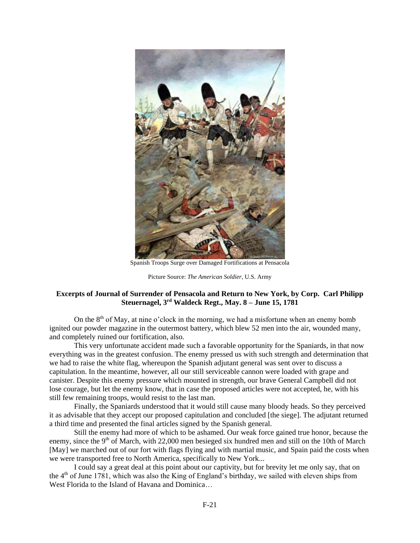

Spanish Troops Surge over Damaged Fortifications at Pensacola

Picture Source: *The American Soldier*, U.S. Army

# **Excerpts of Journal of Surrender of Pensacola and Return to New York, by Corp. Carl Philipp Steuernagel, 3rd Waldeck Regt., May. 8 – June 15, 1781**

On the  $8<sup>th</sup>$  of May, at nine o'clock in the morning, we had a misfortune when an enemy bomb ignited our powder magazine in the outermost battery, which blew 52 men into the air, wounded many, and completely ruined our fortification, also.

This very unfortunate accident made such a favorable opportunity for the Spaniards, in that now everything was in the greatest confusion. The enemy pressed us with such strength and determination that we had to raise the white flag, whereupon the Spanish adjutant general was sent over to discuss a capitulation. In the meantime, however, all our still serviceable cannon were loaded with grape and canister. Despite this enemy pressure which mounted in strength, our brave General Campbell did not lose courage, but let the enemy know, that in case the proposed articles were not accepted, he, with his still few remaining troops, would resist to the last man.

Finally, the Spaniards understood that it would still cause many bloody heads. So they perceived it as advisable that they accept our proposed capitulation and concluded [the siege]. The adjutant returned a third time and presented the final articles signed by the Spanish general.

Still the enemy had more of which to be ashamed. Our weak force gained true honor, because the enemy, since the 9<sup>th</sup> of March, with 22,000 men besieged six hundred men and still on the 10th of March [May] we marched out of our fort with flags flying and with martial music, and Spain paid the costs when we were transported free to North America, specifically to New York...

I could say a great deal at this point about our captivity, but for brevity let me only say, that on the 4th of June 1781, which was also the King of England's birthday, we sailed with eleven ships from West Florida to the Island of Havana and Dominica…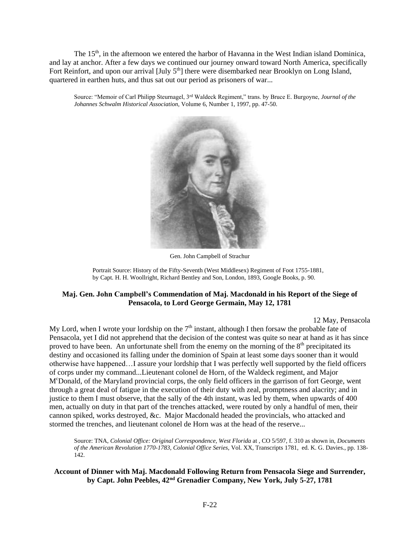The 15<sup>th</sup>, in the afternoon we entered the harbor of Havanna in the West Indian island Dominica, and lay at anchor. After a few days we continued our journey onward toward North America, specifically Fort Reinfort, and upon our arrival  $[\text{July } 5^{\text{th}}]$  there were disembarked near Brooklyn on Long Island, quartered in earthen huts, and thus sat out our period as prisoners of war...

Source: "Memoir of Carl Philipp Steurnagel, 3rd Waldeck Regiment," trans. by Bruce E. Burgoyne, *Journal of the Johannes Schwalm Historical Association*, Volume 6, Number 1, 1997, pp. 47-50.



Gen. John Campbell of Strachur

Portrait Source: History of the Fifty-Seventh (West Middlesex) Regiment of Foot 1755-1881, by Capt. H. H. Woollright, Richard Bentley and Son, London, 1893, Google Books, p. 90.

# **Maj. Gen. John Campbell's Commendation of Maj. Macdonald in his Report of the Siege of Pensacola, to Lord George Germain, May 12, 1781**

12 May, Pensacola

My Lord, when I wrote your lordship on the  $7<sup>th</sup>$  instant, although I then forsaw the probable fate of Pensacola, yet I did not apprehend that the decision of the contest was quite so near at hand as it has since proved to have been. An unfortunate shell from the enemy on the morning of the  $8<sup>th</sup>$  precipitated its destiny and occasioned its falling under the dominion of Spain at least some days sooner than it would otherwise have happened…I assure your lordship that I was perfectly well supported by the field officers of corps under my command...Lieutenant colonel de Horn, of the Waldeck regiment, and Major M<sup>c</sup>Donald, of the Maryland provincial corps, the only field officers in the garrison of fort George, went through a great deal of fatigue in the execution of their duty with zeal, promptness and alacrity; and in justice to them I must observe, that the sally of the 4th instant, was led by them, when upwards of 400 men, actually on duty in that part of the trenches attacked, were routed by only a handful of men, their cannon spiked, works destroyed, &c. Major Macdonald headed the provincials, who attacked and stormed the trenches, and lieutenant colonel de Horn was at the head of the reserve...

Source: TNA, *Colonial Office: Original Correspondence, West Florida* at , CO 5/597, f. 310 as shown in, *Documents of the American Revolution 1770-1783, Colonial Office Series*, Vol. XX, Transcripts 1781, ed. K. G. Davies., pp. 138- 142.

# **Account of Dinner with Maj. Macdonald Following Return from Pensacola Siege and Surrender, by Capt. John Peebles, 42nd Grenadier Company, New York, July 5-27, 1781**